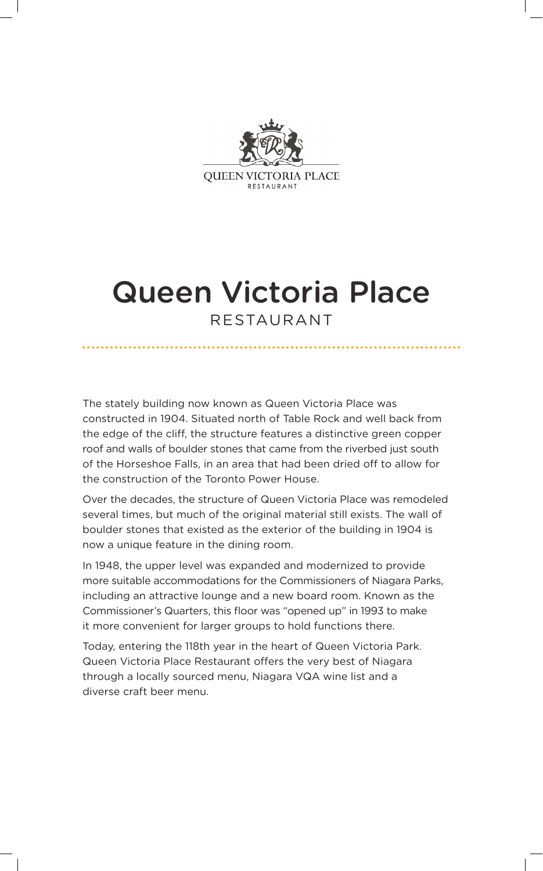

### Queen Victoria Place RESTAURANT

The stately building now known as Queen Victoria Place was constructed in 1904. Situated north of Table Rock and well back from the edge of the cliff, the structure features a distinctive green copper roof and walls of boulder stones that came from the riverbed just south of the Horseshoe Falls, in an area that had been dried off to allow for the construction of the Toronto Power House.

Over the decades, the structure of Queen Victoria Place was remodeled several times, but much of the original material still exists. The wall of boulder stones that existed as the exterior of the building in 1904 is now a unique feature in the dining room.

In 1948, the upper level was expanded and modernized to provide more suitable accommodations for the Commissioners of Niagara Parks, including an attractive lounge and a new board room. Known as the Commissioner's Quarters, this floor was "opened up" in 1993 to make it more convenient for larger groups to hold functions there.

Today, entering the 118th year in the heart of Queen Victoria Park. Queen Victoria Place Restaurant offers the very best of Niagara through a locally sourced menu, Niagara VQA wine list and a diverse craft beer menu.